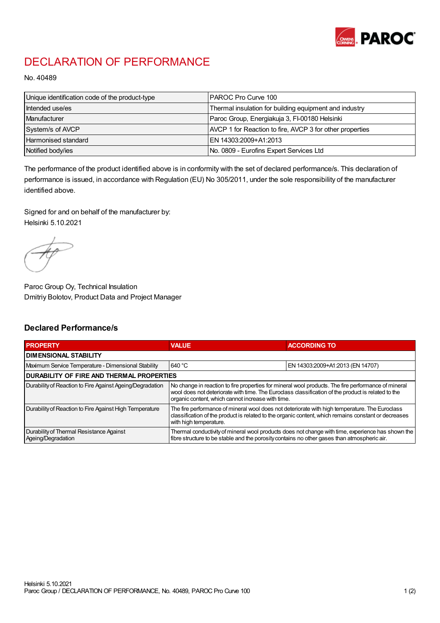

## DECLARATION OF PERFORMANCE

No. 40489

| Unique identification code of the product-type | IPAROC Pro Curve 100                                     |
|------------------------------------------------|----------------------------------------------------------|
| Intended use/es                                | Thermal insulation for building equipment and industry   |
| Manufacturer                                   | Paroc Group, Energiakuja 3, FI-00180 Helsinki            |
| System/s of AVCP                               | AVCP 1 for Reaction to fire, AVCP 3 for other properties |
| Harmonised standard                            | IEN 14303:2009+A1:2013                                   |
| Notified body/ies                              | No. 0809 - Eurofins Expert Services Ltd                  |

The performance of the product identified above is in conformity with the set of declared performance/s. This declaration of performance is issued, in accordance with Regulation (EU) No 305/2011, under the sole responsibility of the manufacturer identified above.

Signed for and on behalf of the manufacturer by: Helsinki 5.10.2021

Paroc Group Oy, Technical Insulation Dmitriy Bolotov, Product Data and Project Manager

## Declared Performance/s

| <b>PROPERTY</b>                                                | <b>VALUE</b>                                                                                                                                                                                                                                                   | <b>ACCORDING TO.</b>             |  |
|----------------------------------------------------------------|----------------------------------------------------------------------------------------------------------------------------------------------------------------------------------------------------------------------------------------------------------------|----------------------------------|--|
| <b>DIMENSIONAL STABILITY</b>                                   |                                                                                                                                                                                                                                                                |                                  |  |
| Maximum Service Temperature - Dimensional Stability            | 640 °C                                                                                                                                                                                                                                                         | EN 14303:2009+A1:2013 (EN 14707) |  |
| <b>DURABILITY OF FIRE AND THERMAL PROPERTIES</b>               |                                                                                                                                                                                                                                                                |                                  |  |
| Durability of Reaction to Fire Against Ageing/Degradation      | No change in reaction to fire properties for mineral wool products. The fire performance of mineral<br>wool does not deteriorate with time. The Euroclass classification of the product is related to the<br>organic content, which cannot increase with time. |                                  |  |
| Durability of Reaction to Fire Against High Temperature        | The fire performance of mineral wool does not deteriorate with high temperature. The Euroclass<br>classification of the product is related to the organic content, which remains constant or decreases<br>with high temperature.                               |                                  |  |
| Durability of Thermal Resistance Against<br>Ageing/Degradation | Thermal conductivity of mineral wool products does not change with time, experience has shown the<br>fibre structure to be stable and the porosity contains no other gases than atmospheric air.                                                               |                                  |  |